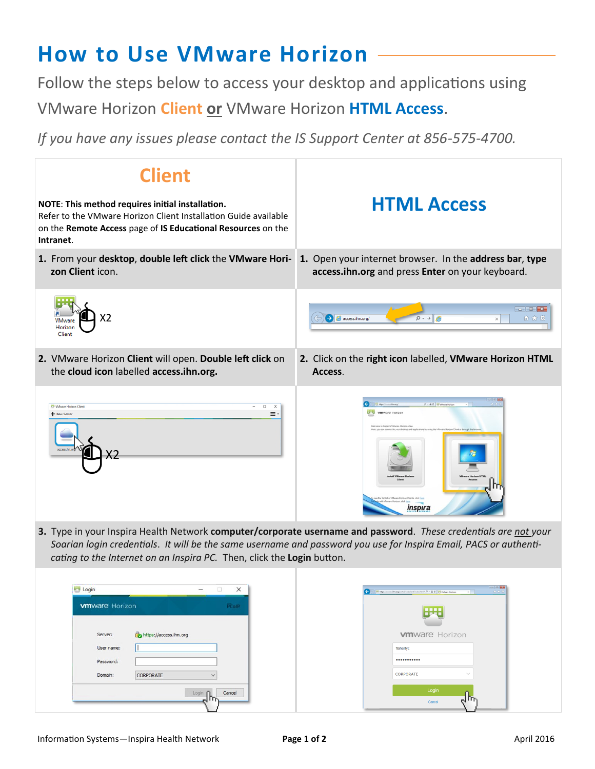## **How to Use VMware Horizon**

Follow the steps below to access your desktop and applications using VMware Horizon **Client or** VMware Horizon **HTML Access**.

*If you have any issues please contact the IS Support Center at 856-575-4700.*